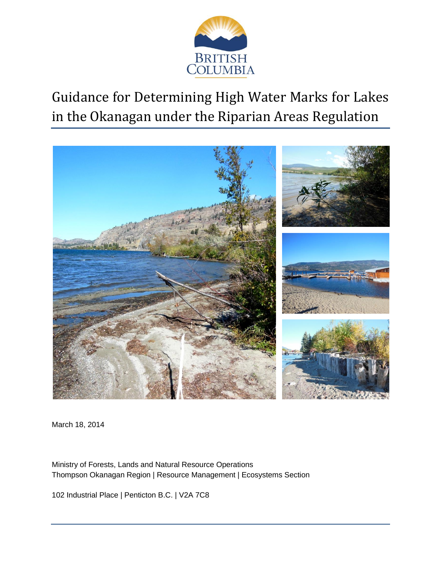

Guidance for Determining High Water Marks for Lakes in the Okanagan under the Riparian Areas Regulation



March 18, 2014

Ministry of Forests, Lands and Natural Resource Operations Thompson Okanagan Region | Resource Management | Ecosystems Section

102 Industrial Place | Penticton B.C. | V2A 7C8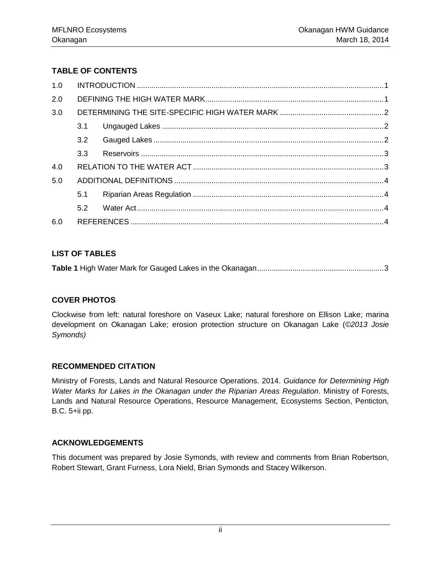# **TABLE OF CONTENTS**

| 1.0 |                  |  |  |  |  |
|-----|------------------|--|--|--|--|
| 2.0 |                  |  |  |  |  |
| 3.0 |                  |  |  |  |  |
|     | 3.1              |  |  |  |  |
|     | 3.2              |  |  |  |  |
|     | 3.3 <sup>°</sup> |  |  |  |  |
| 4.0 |                  |  |  |  |  |
| 5.0 |                  |  |  |  |  |
|     | 5.1              |  |  |  |  |
|     | 5.2              |  |  |  |  |
| 6.0 |                  |  |  |  |  |

## **LIST OF TABLES**

**Table 1** [High Water Mark for Gauged Lakes in the Okanagan.............................................................3](#page-4-2)

## **COVER PHOTOS**

Clockwise from left: natural foreshore on Vaseux Lake; natural foreshore on Ellison Lake; marina development on Okanagan Lake; erosion protection structure on Okanagan Lake (*©2013 Josie Symonds)*

## **RECOMMENDED CITATION**

Ministry of Forests, Lands and Natural Resource Operations. 2014. *Guidance for Determining High Water Marks for Lakes in the Okanagan under the Riparian Areas Regulation*. Ministry of Forests, Lands and Natural Resource Operations, Resource Management, Ecosystems Section, Penticton, B.C. 5+ii pp.

## **ACKNOWLEDGEMENTS**

This document was prepared by Josie Symonds, with review and comments from Brian Robertson, Robert Stewart, Grant Furness, Lora Nield, Brian Symonds and Stacey Wilkerson.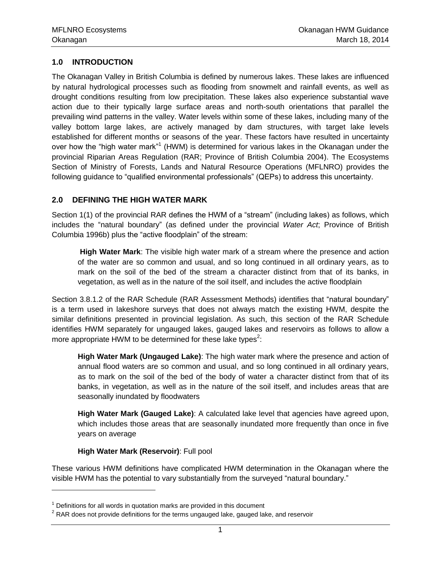## <span id="page-2-0"></span>**1.0 INTRODUCTION**

The Okanagan Valley in British Columbia is defined by numerous lakes. These lakes are influenced by natural hydrological processes such as flooding from snowmelt and rainfall events, as well as drought conditions resulting from low precipitation. These lakes also experience substantial wave action due to their typically large surface areas and north-south orientations that parallel the prevailing wind patterns in the valley. Water levels within some of these lakes, including many of the valley bottom large lakes, are actively managed by dam structures, with target lake levels established for different months or seasons of the year. These factors have resulted in uncertainty over how the "high water mark"<sup>1</sup> (HWM) is determined for various lakes in the Okanagan under the provincial Riparian Areas Regulation (RAR; Province of British Columbia 2004). The Ecosystems Section of Ministry of Forests, Lands and Natural Resource Operations (MFLNRO) provides the following guidance to "qualified environmental professionals" (QEPs) to address this uncertainty.

## <span id="page-2-1"></span>**2.0 DEFINING THE HIGH WATER MARK**

Section 1(1) of the provincial RAR defines the HWM of a "stream" (including lakes) as follows, which includes the "natural boundary" (as defined under the provincial *Water Act*; Province of British Columbia 1996b) plus the "active floodplain" of the stream:

**High Water Mark**: The visible high water mark of a stream where the presence and action of the water are so common and usual, and so long continued in all ordinary years, as to mark on the soil of the bed of the stream a character distinct from that of its banks, in vegetation, as well as in the nature of the soil itself, and includes the active floodplain

Section 3.8.1.2 of the RAR Schedule (RAR Assessment Methods) identifies that "natural boundary" is a term used in lakeshore surveys that does not always match the existing HWM, despite the similar definitions presented in provincial legislation. As such, this section of the RAR Schedule identifies HWM separately for ungauged lakes, gauged lakes and reservoirs as follows to allow a more appropriate HWM to be determined for these lake types<sup>2</sup>:

**High Water Mark (Ungauged Lake)**: The high water mark where the presence and action of annual flood waters are so common and usual, and so long continued in all ordinary years, as to mark on the soil of the bed of the body of water a character distinct from that of its banks, in vegetation, as well as in the nature of the soil itself, and includes areas that are seasonally inundated by floodwaters

**High Water Mark (Gauged Lake)**: A calculated lake level that agencies have agreed upon, which includes those areas that are seasonally inundated more frequently than once in five years on average

#### **High Water Mark (Reservoir)**: Full pool

 $\overline{a}$ 

These various HWM definitions have complicated HWM determination in the Okanagan where the visible HWM has the potential to vary substantially from the surveyed "natural boundary."

 $1$  Definitions for all words in quotation marks are provided in this document

 $2$  RAR does not provide definitions for the terms ungauged lake, gauged lake, and reservoir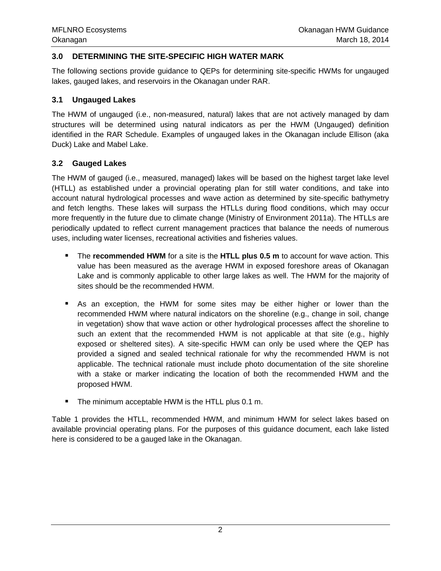### <span id="page-3-0"></span>**3.0 DETERMINING THE SITE-SPECIFIC HIGH WATER MARK**

The following sections provide guidance to QEPs for determining site-specific HWMs for ungauged lakes, gauged lakes, and reservoirs in the Okanagan under RAR.

#### <span id="page-3-1"></span>**3.1 Ungauged Lakes**

The HWM of ungauged (i.e., non-measured, natural) lakes that are not actively managed by dam structures will be determined using natural indicators as per the HWM (Ungauged) definition identified in the RAR Schedule. Examples of ungauged lakes in the Okanagan include Ellison (aka Duck) Lake and Mabel Lake.

#### <span id="page-3-2"></span>**3.2 Gauged Lakes**

The HWM of gauged (i.e., measured, managed) lakes will be based on the highest target lake level (HTLL) as established under a provincial operating plan for still water conditions, and take into account natural hydrological processes and wave action as determined by site-specific bathymetry and fetch lengths. These lakes will surpass the HTLLs during flood conditions, which may occur more frequently in the future due to climate change (Ministry of Environment 2011a). The HTLLs are periodically updated to reflect current management practices that balance the needs of numerous uses, including water licenses, recreational activities and fisheries values.

- The **recommended HWM** for a site is the **HTLL plus 0.5 m** to account for wave action. This value has been measured as the average HWM in exposed foreshore areas of Okanagan Lake and is commonly applicable to other large lakes as well. The HWM for the majority of sites should be the recommended HWM.
- As an exception, the HWM for some sites may be either higher or lower than the recommended HWM where natural indicators on the shoreline (e.g., change in soil, change in vegetation) show that wave action or other hydrological processes affect the shoreline to such an extent that the recommended HWM is not applicable at that site (e.g., highly exposed or sheltered sites). A site-specific HWM can only be used where the QEP has provided a signed and sealed technical rationale for why the recommended HWM is not applicable. The technical rationale must include photo documentation of the site shoreline with a stake or marker indicating the location of both the recommended HWM and the proposed HWM.
- The minimum acceptable HWM is the HTLL plus 0.1 m.

Table 1 provides the HTLL, recommended HWM, and minimum HWM for select lakes based on available provincial operating plans. For the purposes of this guidance document, each lake listed here is considered to be a gauged lake in the Okanagan.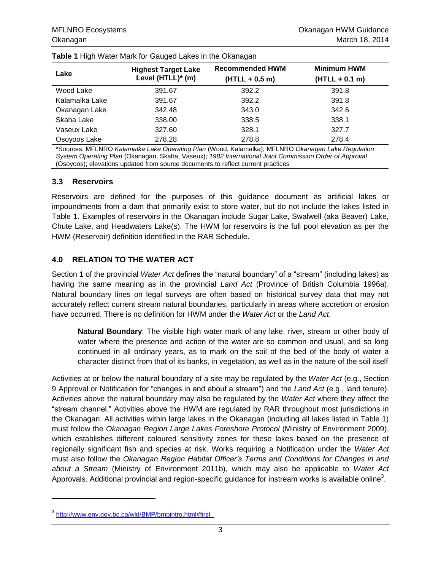| ີ              | ີ                                               |                                            |                                        |
|----------------|-------------------------------------------------|--------------------------------------------|----------------------------------------|
| Lake           | <b>Highest Target Lake</b><br>Level (HTLL)* (m) | <b>Recommended HWM</b><br>$(HTLL + 0.5 m)$ | <b>Minimum HWM</b><br>$(HTLL + 0.1 m)$ |
| Wood Lake      | 391.67                                          | 392.2                                      | 391.8                                  |
| Kalamalka Lake | 391.67                                          | 392.2                                      | 391.8                                  |
| Okanagan Lake  | 342.48                                          | 343.0                                      | 342.6                                  |
| Skaha Lake     | 338.00                                          | 338.5                                      | 338.1                                  |
| Vaseux Lake    | 327.60                                          | 328.1                                      | 327.7                                  |
| Osoyoos Lake   | 278.28                                          | 278.8                                      | 278.4                                  |

<span id="page-4-2"></span>

\*Sources: MFLNRO *Kalamalka Lake Operating Plan* (Wood, Kalamalka); MFLNRO *Okanagan Lake Regulation System Operating Plan* (Okanagan, Skaha, Vaseux); *1982 International Joint Commission Order of Approval* (Osoyoos); elevations updated from source documents to reflect current practices

#### <span id="page-4-0"></span>**3.3 Reservoirs**

Reservoirs are defined for the purposes of this guidance document as artificial lakes or impoundments from a dam that primarily exist to store water, but do not include the lakes listed in Table 1. Examples of reservoirs in the Okanagan include Sugar Lake, Swalwell (aka Beaver) Lake, Chute Lake, and Headwaters Lake(s). The HWM for reservoirs is the full pool elevation as per the HWM (Reservoir) definition identified in the RAR Schedule.

#### <span id="page-4-1"></span>**4.0 RELATION TO THE WATER ACT**

Section 1 of the provincial *Water Act* defines the "natural boundary" of a "stream" (including lakes) as having the same meaning as in the provincial *Land Act* (Province of British Columbia 1996a). Natural boundary lines on legal surveys are often based on historical survey data that may not accurately reflect current stream natural boundaries, particularly in areas where accretion or erosion have occurred. There is no definition for HWM under the *Water Act* or the *Land Act*.

**Natural Boundary**: The visible high water mark of any lake, river, stream or other body of water where the presence and action of the water are so common and usual, and so long continued in all ordinary years, as to mark on the soil of the bed of the body of water a character distinct from that of its banks, in vegetation, as well as in the nature of the soil itself

Activities at or below the natural boundary of a site may be regulated by the *Water Act* (e.g., Section 9 Approval or Notification for "changes in and about a stream") and the *Land Act* (e.g., land tenure). Activities above the natural boundary may also be regulated by the *Water Act* where they affect the "stream channel." Activities above the HWM are regulated by RAR throughout most jurisdictions in the Okanagan. All activities within large lakes in the Okanagan (including all lakes listed in Table 1) must follow the *Okanagan Region Large Lakes Foreshore Protocol* (Ministry of Environment 2009), which establishes different coloured sensitivity zones for these lakes based on the presence of regionally significant fish and species at risk. Works requiring a Notification under the *Water Act* must also follow the *Okanagan Region Habitat Officer's Terms and Conditions for Changes in and about a Stream* (Ministry of Environment 2011b), which may also be applicable to *Water Act* Approvals. Additional provincial and region-specific guidance for instream works is available online<sup>3</sup>.

l

<sup>&</sup>lt;sup>3</sup> [http://www.env.gov.bc.ca/wld/BMP/bmpintro.html#first\\_](http://www.env.gov.bc.ca/wld/BMP/bmpintro.html#first_)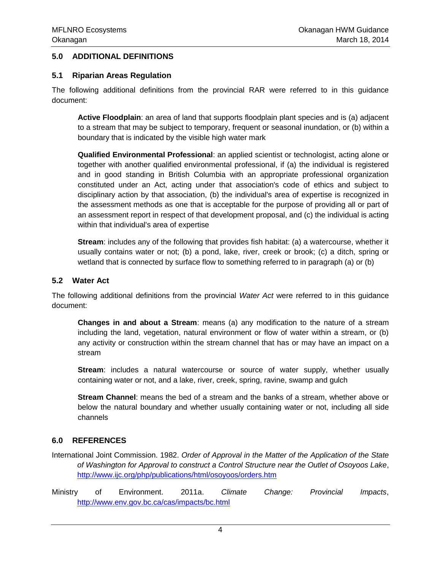### <span id="page-5-0"></span>**5.0 ADDITIONAL DEFINITIONS**

#### <span id="page-5-1"></span>**5.1 Riparian Areas Regulation**

The following additional definitions from the provincial RAR were referred to in this guidance document:

**Active Floodplain**: an area of land that supports floodplain plant species and is (a) adjacent to a stream that may be subject to temporary, frequent or seasonal inundation, or (b) within a boundary that is indicated by the visible high water mark

**Qualified Environmental Professional**: an applied scientist or technologist, acting alone or together with another qualified environmental professional, if (a) the individual is registered and in good standing in British Columbia with an appropriate professional organization constituted under an Act, acting under that association's code of ethics and subject to disciplinary action by that association, (b) the individual's area of expertise is recognized in the assessment methods as one that is acceptable for the purpose of providing all or part of an assessment report in respect of that development proposal, and (c) the individual is acting within that individual's area of expertise

**Stream**: includes any of the following that provides fish habitat: (a) a watercourse, whether it usually contains water or not; (b) a pond, lake, river, creek or brook; (c) a ditch, spring or wetland that is connected by surface flow to something referred to in paragraph (a) or (b)

#### <span id="page-5-2"></span>**5.2 Water Act**

The following additional definitions from the provincial *Water Act* were referred to in this guidance document:

**Changes in and about a Stream**: means (a) any modification to the nature of a stream including the land, vegetation, natural environment or flow of water within a stream, or (b) any activity or construction within the stream channel that has or may have an impact on a stream

**Stream**: includes a natural watercourse or source of water supply, whether usually containing water or not, and a lake, river, creek, spring, ravine, swamp and gulch

**Stream Channel**: means the bed of a stream and the banks of a stream, whether above or below the natural boundary and whether usually containing water or not, including all side channels

## <span id="page-5-3"></span>**6.0 REFERENCES**

- International Joint Commission. 1982. *Order of Approval in the Matter of the Application of the State of Washington for Approval to construct a Control Structure near the Outlet of Osoyoos Lake*, <http://www.ijc.org/php/publications/html/osoyoos/orders.htm>
- Ministry of Environment. 2011a. *Climate Change: Provincial Impacts*, <http://www.env.gov.bc.ca/cas/impacts/bc.html>